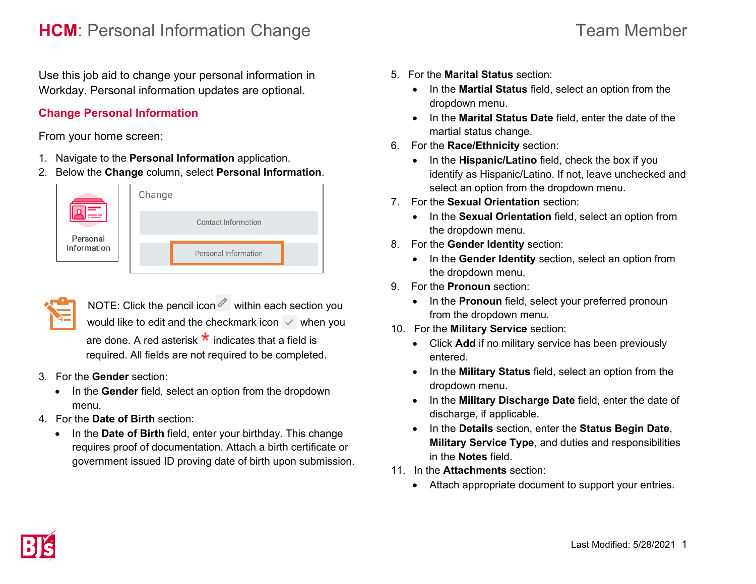## **HCM**: Personal Information Change Team Member

Use this job aid to change your personal information in Workday. Personal information updates are optional.

### **Change Personal Information**

From your home screen:

- 1. Navigate to the **Personal Information** application.
- 2. Below the **Change** column, select **Personal Information**.





NOTE: Click the pencil icon  $\ell$  within each section you would like to edit and the checkmark icon  $\vee$  when you are done. A red asterisk  $\star$  indicates that a field is required. All fields are not required to be completed.

- 3. For the **Gender** section:
	- In the **Gender** field, select an option from the dropdown menu.
- 4. For the **Date of Birth** section:
	- In the **Date of Birth** field, enter your birthday. This change requires proof of documentation. Attach a birth certificate or government issued ID proving date of birth upon submission.
- 5. For the **Marital Status** section:
	- In the **Martial Status** field, select an option from the dropdown menu.
	- In the **Marital Status Date** field, enter the date of the martial status change.
- 6. For the **Race/Ethnicity** section:
	- In the **Hispanic/Latino** field, check the box if you identify as Hispanic/Latino. If not, leave unchecked and select an option from the dropdown menu.
- 7. For the **Sexual Orientation** section:
	- In the **Sexual Orientation** field, select an option from the dropdown menu.
- 8. For the **Gender Identity** section:
	- In the **Gender Identity** section, select an option from the dropdown menu.
- 9. For the **Pronoun** section:
	- In the **Pronoun** field, select your preferred pronoun from the dropdown menu.
- 10. For the **Military Service** section:
	- Click **Add** if no military service has been previously entered.
	- In the **Military Status** field, select an option from the dropdown menu.
	- In the **Military Discharge Date** field, enter the date of discharge, if applicable.
	- In the **Details** section, enter the **Status Begin Date**, **Military Service Type**, and duties and responsibilities in the **Notes** field.
- 11. In the **Attachments** section:
	- Attach appropriate document to support your entries.